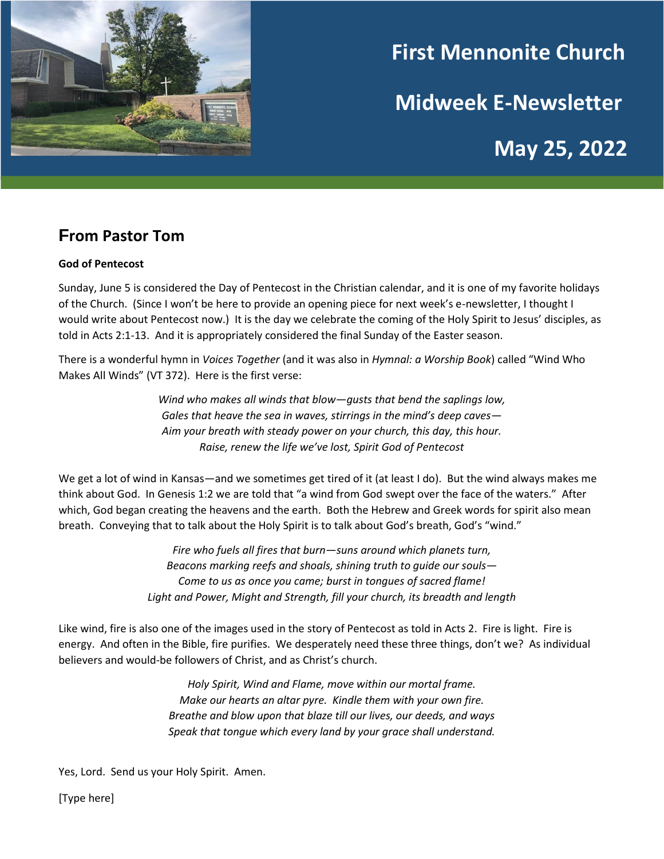

# **First Mennonite Church**

**Midweek E-Newsletter**

**May 25, 2022**

# **From Pastor Tom**

#### **God of Pentecost**

Sunday, June 5 is considered the Day of Pentecost in the Christian calendar, and it is one of my favorite holidays of the Church. (Since I won't be here to provide an opening piece for next week's e-newsletter, I thought I would write about Pentecost now.) It is the day we celebrate the coming of the Holy Spirit to Jesus' disciples, as told in Acts 2:1-13. And it is appropriately considered the final Sunday of the Easter season.

There is a wonderful hymn in *Voices Together* (and it was also in *Hymnal: a Worship Book*) called "Wind Who Makes All Winds" (VT 372). Here is the first verse:

> *Wind who makes all winds that blow—gusts that bend the saplings low, Gales that heave the sea in waves, stirrings in the mind's deep caves— Aim your breath with steady power on your church, this day, this hour. Raise, renew the life we've lost, Spirit God of Pentecost*

We get a lot of wind in Kansas—and we sometimes get tired of it (at least I do). But the wind always makes me think about God. In Genesis 1:2 we are told that "a wind from God swept over the face of the waters." After which, God began creating the heavens and the earth. Both the Hebrew and Greek words for spirit also mean breath. Conveying that to talk about the Holy Spirit is to talk about God's breath, God's "wind."

> *Fire who fuels all fires that burn—suns around which planets turn, Beacons marking reefs and shoals, shining truth to guide our souls— Come to us as once you came; burst in tongues of sacred flame! Light and Power, Might and Strength, fill your church, its breadth and length*

Like wind, fire is also one of the images used in the story of Pentecost as told in Acts 2. Fire is light. Fire is energy. And often in the Bible, fire purifies. We desperately need these three things, don't we? As individual believers and would-be followers of Christ, and as Christ's church.

> *Holy Spirit, Wind and Flame, move within our mortal frame. Make our hearts an altar pyre. Kindle them with your own fire. Breathe and blow upon that blaze till our lives, our deeds, and ways Speak that tongue which every land by your grace shall understand.*

Yes, Lord. Send us your Holy Spirit. Amen.

[Type here]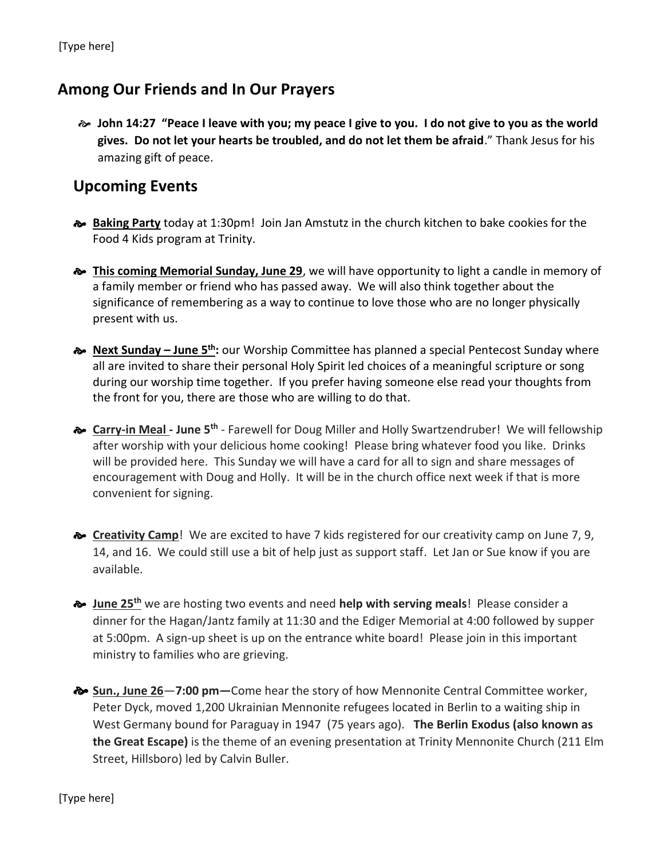### **Among Our Friends and In Our Prayers**

 **John 14:27 "Peace I leave with you; my peace I give to you. I do not give to you as the world gives. Do not let your hearts be troubled, and do not let them be afraid**." Thank Jesus for his amazing gift of peace.

#### **Upcoming Events**

- **Baking Party** today at 1:30pm! Join Jan Amstutz in the church kitchen to bake cookies for the Food 4 Kids program at Trinity.
- **This coming Memorial Sunday, June 29**, we will have opportunity to light a candle in memory of a family member or friend who has passed away. We will also think together about the significance of remembering as a way to continue to love those who are no longer physically present with us.
- **Next Sunday – June 5th:** our Worship Committee has planned a special Pentecost Sunday where all are invited to share their personal Holy Spirit led choices of a meaningful scripture or song during our worship time together. If you prefer having someone else read your thoughts from the front for you, there are those who are willing to do that.
- $\approx$  **Carry-in Meal** June 5<sup>th</sup> Farewell for Doug Miller and Holly Swartzendruber! We will fellowship after worship with your delicious home cooking! Please bring whatever food you like. Drinks will be provided here. This Sunday we will have a card for all to sign and share messages of encouragement with Doug and Holly. It will be in the church office next week if that is more convenient for signing.
- **Example 3 AT AT AT A CORPOT CAMP** Camp<sup>1</sup> We are excited to have 7 kids registered for our creativity camp on June 7, 9, 14, and 16. We could still use a bit of help just as support staff. Let Jan or Sue know if you are available.
- **June 25th** we are hosting two events and need **help with serving meals**! Please consider a dinner for the Hagan/Jantz family at 11:30 and the Ediger Memorial at 4:00 followed by supper at 5:00pm. A sign-up sheet is up on the entrance white board! Please join in this important ministry to families who are grieving.
- **Sun., June 26**—**7:00 pm—**Come hear the story of how Mennonite Central Committee worker, Peter Dyck, moved 1,200 Ukrainian Mennonite refugees located in Berlin to a waiting ship in West Germany bound for Paraguay in 1947 (75 years ago). **The Berlin Exodus (also known as the Great Escape)** is the theme of an evening presentation at Trinity Mennonite Church (211 Elm Street, Hillsboro) led by Calvin Buller.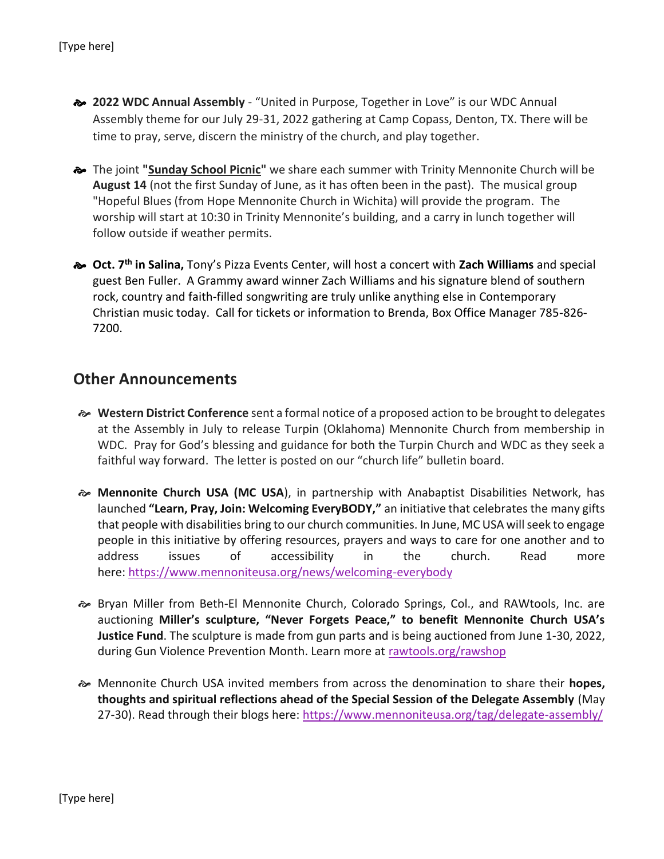- **2022 WDC Annual Assembly** "United in Purpose, Together in Love" is our WDC Annual Assembly theme for our July 29-31, 2022 gathering at Camp Copass, Denton, TX. There will be time to pray, serve, discern the ministry of the church, and play together.
- The joint **"Sunday School Picnic"** we share each summer with Trinity Mennonite Church will be **August 14** (not the first Sunday of June, as it has often been in the past). The musical group "Hopeful Blues (from Hope Mennonite Church in Wichita) will provide the program. The worship will start at 10:30 in Trinity Mennonite's building, and a carry in lunch together will follow outside if weather permits.
- **Oct. 7th in Salina,** Tony's Pizza Events Center, will host a concert with **Zach Williams** and special guest Ben Fuller. A Grammy award winner Zach Williams and his signature blend of southern rock, country and faith-filled songwriting are truly unlike anything else in Contemporary Christian music today. Call for tickets or information to Brenda, Box Office Manager 785-826- 7200.

#### **Other Announcements**

- **Western District Conference** sent a formal notice of a proposed action to be brought to delegates at the Assembly in July to release Turpin (Oklahoma) Mennonite Church from membership in WDC. Pray for God's blessing and guidance for both the Turpin Church and WDC as they seek a faithful way forward. The letter is posted on our "church life" bulletin board.
- **Mennonite Church USA (MC USA**), in partnership with Anabaptist Disabilities Network, has launched **"Learn, Pray, Join: Welcoming EveryBODY,"** an initiative that celebrates the many gifts that people with disabilities bring to our church communities. In June, MC USA will seek to engage people in this initiative by offering resources, prayers and ways to care for one another and to address issues of accessibility in the church. Read more here: [https://www.mennoniteusa.org/news/welcoming-everybody](https://mennoniteusa.us1.list-manage.com/track/click?u=97f16d9c230780d6354d01572&id=a31e02eda7&e=f1cba2a9e6)
- Bryan Miller from Beth-El Mennonite Church, Colorado Springs, Col., and RAWtools, Inc. are auctioning **Miller's sculpture, "Never Forgets Peace," to benefit Mennonite Church USA's Justice Fund**. The sculpture is made from gun parts and is being auctioned from June 1-30, 2022, during Gun Violence Prevention Month. Learn more at [rawtools.org/rawshop](https://mennoniteusa.us1.list-manage.com/track/click?u=97f16d9c230780d6354d01572&id=c8bf161cb3&e=f1cba2a9e6)
- Mennonite Church USA invited members from across the denomination to share their **hopes, thoughts and spiritual reflections ahead of the Special Session of the Delegate Assembly** (May 27-30). Read through their blogs here: [https://www.mennoniteusa.org/tag/delegate-assembly/](https://mennoniteusa.us1.list-manage.com/track/click?u=97f16d9c230780d6354d01572&id=ee01fd53b0&e=f1cba2a9e6)